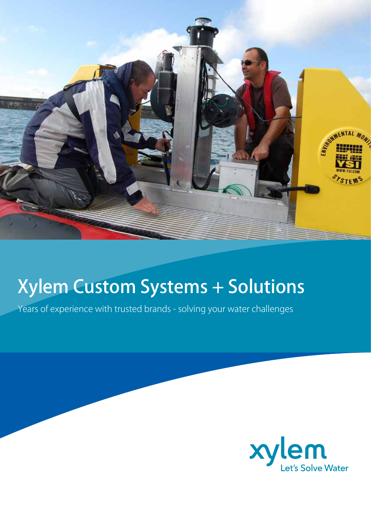

# Xylem Custom Systems + Solutions

Years of experience with trusted brands - solving your water challenges

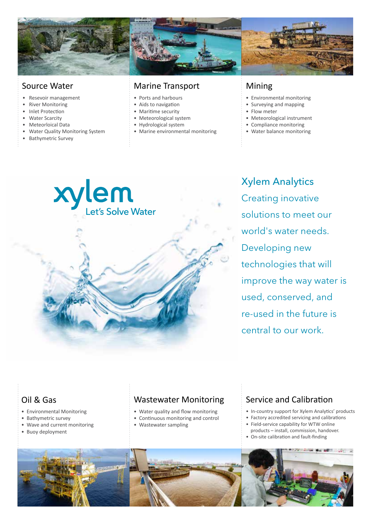

#### Source Water

- Resevoir management
- River Monitoring
- Inlet Protection
- Water Scarcity
- Meteorloical Data
- Water Quality Monitoring System
- Bathymetric Survey

#### Marine Transport

- Ports and harbours
- Aids to navigation
- Maritime security
- Meteorological system
- Hydrological system
- Marine environmental monitoring

#### Mining

- Environmental monitoring
- Surveying and mapping
- Flow meter
- Meteorological instrument
- Compliance monitoring
- Water balance monitoring



Xylem Analytics Creating inovative solutions to meet our world's water needs. Developing new technologies that will improve the way water is used, conserved, and re-used in the future is central to our work.

### Oil & Gas

- Environmental Monitoring
- Bathymetric survey
- Wave and current monitoring • Buoy deployment

- Water quality and flow monitoring
- Continuous monitoring and control
- Wastewater sampling

#### Wastewater Monitoring Service and Calibration

- In-country support for Xylem Analytics' products
- Factory accredited servicing and calibrations
- Field-service capability for WTW online products – install, commission, handover.
- On-site calibration and fault-finding

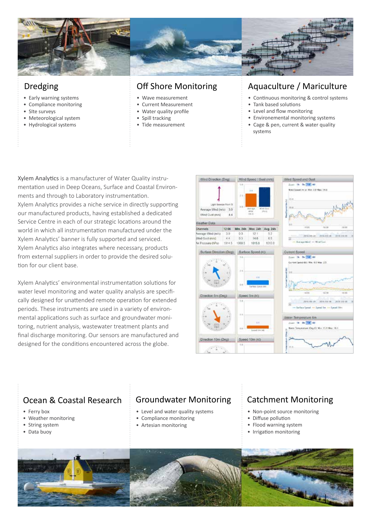

#### Dredging

- Early warning systems
- Compliance monitoring
- SIte surveys
- Meteorological system
- Hydrological systems

#### Off Shore Monitoring

- Wave measurement
- Current Measurement
- Water quality profile
- Spill tracking
- Tide measurement

#### Aquaculture / Mariculture

- Continuous monitoring & control systems
- Tank based solutions
- Level and flow monitoring
- Environemental monitoring systems • Cage & pen, current & water quality systems

Xylem Analytics is a manufacturer of Water Quality instrumentation used in Deep Oceans, Surface and Coastal Environments and through to Laboratory instrumentation. Xylem Analytics provides a niche service in directly supporting our manufactured products, having established a dedicated Service Centre in each of our strategic locations around the world in which all instrumentation manufactured under the Xylem Analytics' banner is fully supported and serviced. Xylem Analytics also integrates where necessary, products from external suppliers in order to provide the desired solution for our client base.

Xylem Analytics' environmental instrumentation solutions for water level monitoring and water quality analysis are specifically designed for unattended remote operation for extended periods. These instruments are used in a variety of environmental applications such as surface and groundwater monitoring, nutrient analysis, wastewater treatment plants and final discharge monitoring. Our sensors are manufactured and designed for the conditions encountered across the globe.



## Ocean & Coastal Research

- Ferry box
- Weather monitoring
- String system
- Data buoy
- Level and water quality systems
- Compliance monitoring
- Artesian monitoring
- 

#### Groundwater Monitoring | Catchment Monitoring

- Non-point source monitoring
- Diffuse pollution
- Flood warning system
- Irrigation monitoring